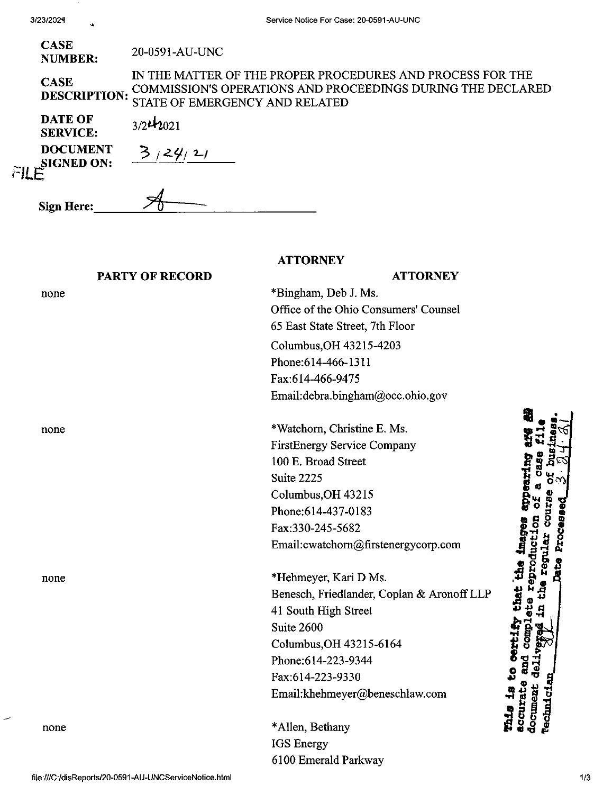| CASE           | 20-0591-AU-UNC |
|----------------|----------------|
| <b>NUMBER:</b> |                |

**CASE DESCRIPTION:** IN THE MATTER OF THE PROPER PROCEDURES AND PROCESS FOR THE COMMISSION'S OPERATIONS AND PROCEEDINGS DURING THE DECLARED STATE OF EMERGENCY AND RELATED

**ATTORNEY**

**DATE OF SERVICE: DOCUMENT SIGNED ON:** FILE  $3/2$ *t*<sub>2021</sub>

| 3/24/21 |  |
|---------|--|

| Sign Here: |  |
|------------|--|
|            |  |

#### **PARTY OF RECORD**

## **ATTORNEY**

none

none

none

none

\*Bingham, Deb J. Ms. Office of the Ohio Consumers' Counsel 65 East State Street, 7th Floor Columbus,OH 43215-4203 Phone;614-466-1311 Fax:614-466-9475 Email:debra.bingham@occ.ohio.gov \*Watchom, Christine E. Ms. FirstEnergy Service Company

100 E. Broad Street Suite 2225 Columbus,OH 43215 Phone;614-437-0183 Fax:330-245-5682 Email:cwatchom@firstenergycorp.com

\*Hehmeyer, Kari D Ms. Benesch, Friedlander, Coplan & AronoffLLP 41 South High Street Suite 2600 Columbus,OH 43215-6164 Phone:614-223-9344 Fax:614-223-9330 Email:khehmeyer@beneschlaw.com

\*Allen, Bethany IGS Energy 6100 Emerald Parkway

 $\vec{H}$   $\vec{B}$   $\ll$  $\ddot{\mathbf{r}}$  **b**  $\ddot{\mathbf{a}}$   $\frac{\ddot{\mathbf{a}}}{\mathbf{v}}$ that the image eproduct o ੱ<br>ਸ਼੍ਰੋ ocument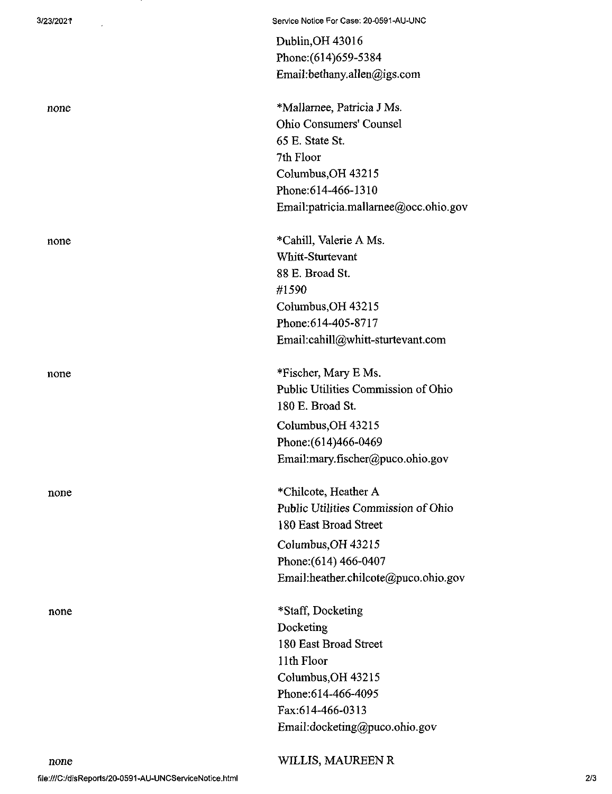| 3/23/2021 | Service Notice For Case: 20-0591-AU-UNC |
|-----------|-----------------------------------------|
|           | Dublin, OH 43016                        |
|           | Phone: (614) 659-5384                   |
|           | Email:bethany.allen@igs.com             |
| none      | *Mallarnee, Patricia J Ms.              |
|           | Ohio Consumers' Counsel                 |
|           | 65 E. State St.                         |
|           | 7th Floor                               |
|           | Columbus, OH 43215                      |
|           | Phone: 614-466-1310                     |
|           | Email:patricia.mallarnee@occ.ohio.gov   |
| none      | *Cahill, Valerie A Ms.                  |
|           | Whitt-Sturtevant                        |
|           | 88 E. Broad St.                         |
|           | #1590                                   |
|           | Columbus, OH 43215                      |
|           | Phone: 614-405-8717                     |
|           | Email:cahill@whitt-sturtevant.com       |
| none      | *Fischer, Mary E Ms.                    |
|           | Public Utilities Commission of Ohio     |
|           | 180 E. Broad St.                        |
|           | Columbus, OH 43215                      |
|           | Phone: (614)466-0469                    |
|           | Email:mary.fischer@puco.ohio.gov        |
| none      | *Chilcote, Heather A                    |
|           | Public Utilities Commission of Ohio     |
|           | 180 East Broad Street                   |
|           | Columbus OH 43215                       |
|           | Phone: (614) 466-0407                   |
|           | Email:heather.chilcote@puco.ohio.gov    |
| none      | *Staff, Docketing                       |
|           | Docketing                               |
|           | 180 East Broad Street                   |
|           | 11th Floor                              |
|           | Columbus, OH 43215                      |
|           | Phone: 614-466-4095                     |
|           | Fax:614-466-0313                        |
|           | Email:docketing@puco.ohio.gov           |
|           |                                         |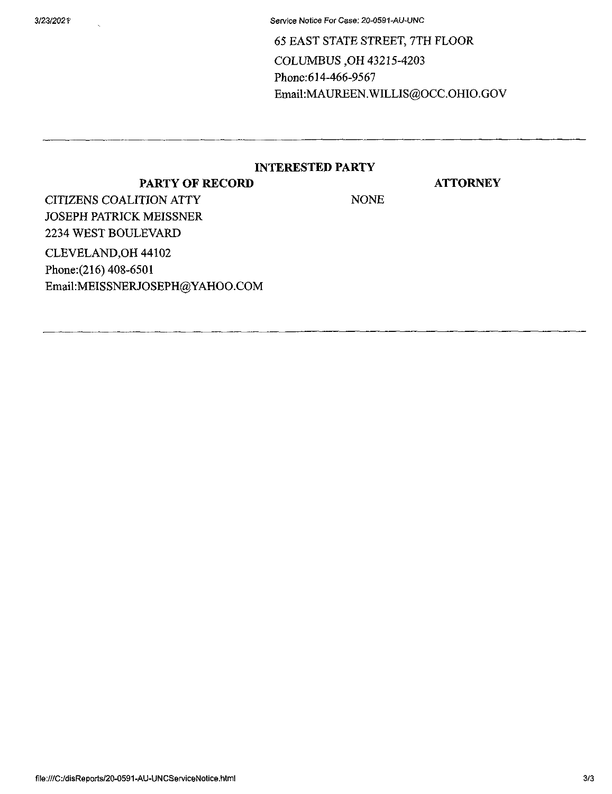3/23/202T Service Notice For Case; 20-0591-AU-UNC

65 EAST STATE STREET, 7TH FLOOR COLUMBUS ,OH 43215-4203 Phone:614-466-9567 Email:MAUREEN.WILLIS@OCC.OHIO.GOV

### **INTERESTED PARTY**

### **PARTY OF RECORD**

**ATTORNEY**

CITIZENS COALITION ATTY NONE JOSEPH PATRICK MEISSNER 2234 WEST BOULEVARD CLEVELAND,OH 44102 Phone;(216) 408-6501

Email:MEISSNERJOSEPH@YAHOO.COM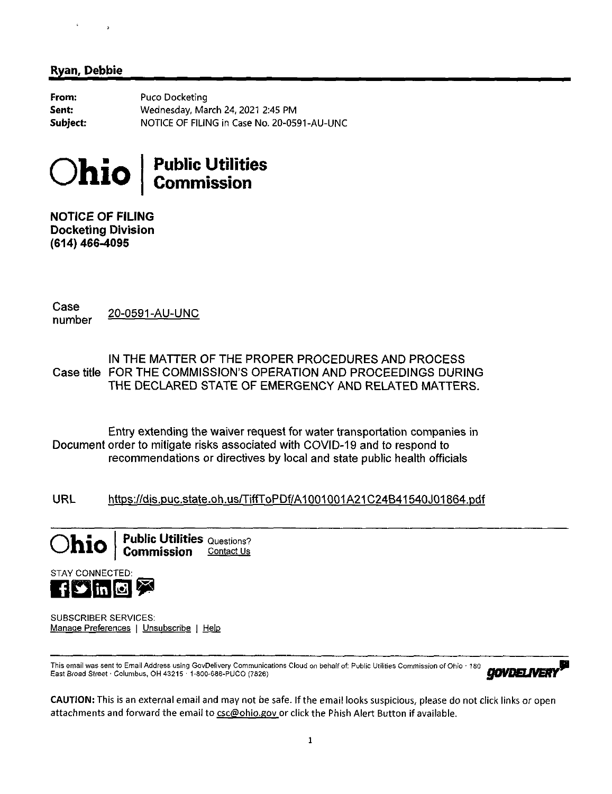# $\overline{a}$

## **Ryan, Debbie**

**From: Sent: Subject:** Puco Docketing Wednesday, March 24, 2021 2:45 PM NOTICE OF FILING in Case No. 20-0591-AU-UNC



**NOTICE OF FILING Docketing Division (614) 466-4095**

Case<br>number 20-0591-AU-UNC

IN THE MATTER OF THE PROPER PROCEDURES AND PROCESS Case title FOR THE COMMISSION'S OPERATION AND PROCEEDINGS DURING THE DECLARED STATE OF EMERGENCY AND RELATED MATTERS.

Entry extending the waiver request for water transportation companies in Document order to mitigate risks associated with COVID-19 and to respond to recommendations or directives by local and state public health officials

URL https://dis.puc.state.oh.us/TiffToPDf/A1001001A21C24B41540J01864.pdf





SUBSCRIBER SERVICES: Manage Preferences | Unsubscribe | Help

This email was sent to Email Address using GovDelivery Communications Cloud on behalf of: Public Utilities Commission of Ohio · 180 **East Broad Street** • Columbus. OH 43215 • 1-800-686-PUCO *(7826) COLUMBUS COLUMBUS COLUMBUS COLUMBUS. ON A 43215* **• 1-800-686-PUCO** *(7826)**•* **2004 Street • Columbus. OH 43215 • 1-800-686-PUCO** *(7826)* 

CAUTION: This is an external email and may not be safe. If the email looks suspicious, please do not click links or open attachments and forward the email to csc@ohio.gov\_or click the Phish Alert Button if available.